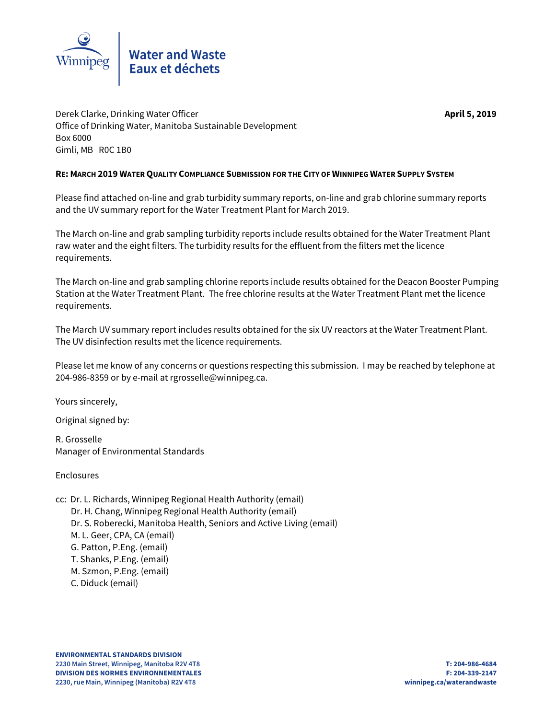

Derek Clarke, Drinking Water Officer **April 5, 2019** Office of Drinking Water, Manitoba Sustainable Development Box 6000 Gimli, MB R0C 1B0

# **RE: MARCH 2019 WATER QUALITY COMPLIANCE SUBMISSION FOR THE CITY OF WINNIPEG WATER SUPPLY SYSTEM**

Please find attached on-line and grab turbidity summary reports, on-line and grab chlorine summary reports and the UV summary report for the Water Treatment Plant for March 2019.

The March on-line and grab sampling turbidity reports include results obtained for the Water Treatment Plant raw water and the eight filters. The turbidity results for the effluent from the filters met the licence requirements.

The March on-line and grab sampling chlorine reports include results obtained for the Deacon Booster Pumping Station at the Water Treatment Plant. The free chlorine results at the Water Treatment Plant met the licence requirements.

The March UV summary report includes results obtained for the six UV reactors at the Water Treatment Plant. The UV disinfection results met the licence requirements.

Please let me know of any concerns or questions respecting this submission. I may be reached by telephone at 204-986-8359 or by e-mail at rgrosselle@winnipeg.ca.

Yours sincerely,

Original signed by:

R. Grosselle Manager of Environmental Standards

Enclosures

cc: Dr. L. Richards, Winnipeg Regional Health Authority (email) Dr. H. Chang, Winnipeg Regional Health Authority (email) Dr. S. Roberecki, Manitoba Health, Seniors and Active Living (email) M. L. Geer, CPA, CA (email) G. Patton, P.Eng. (email) T. Shanks, P.Eng. (email) M. Szmon, P.Eng. (email) C. Diduck (email)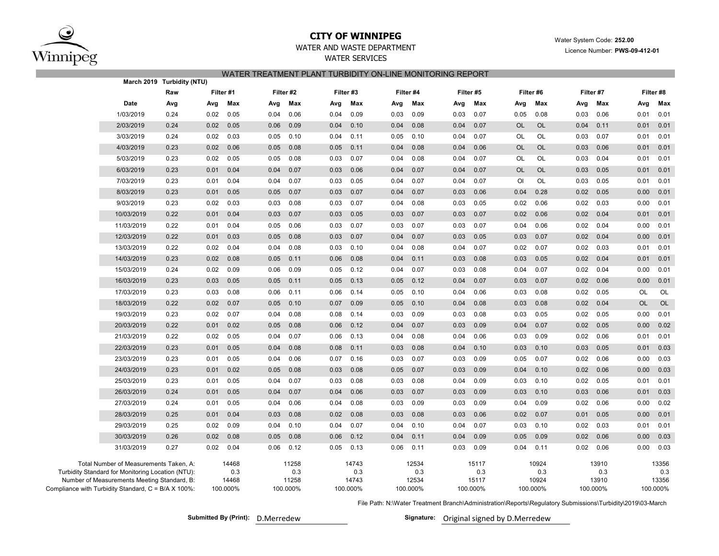

## **CITY OF WINNIPEG**

Water System Code: **252.00**

Licence Number: **PWS-09-412-01**

# WATER AND WASTE DEPARTMENT

WATER SERVICESWATER TREATMENT PLANT TURBIDITY ON-LINE MONITORING REPORT

|                                                                                                                                                                                                   | March 2019 Turbidity (NTU) |                                   |                                   |                                   |                                   |                                   |                                   |                                   |                                   |
|---------------------------------------------------------------------------------------------------------------------------------------------------------------------------------------------------|----------------------------|-----------------------------------|-----------------------------------|-----------------------------------|-----------------------------------|-----------------------------------|-----------------------------------|-----------------------------------|-----------------------------------|
|                                                                                                                                                                                                   | Raw                        | Filter #1                         | Filter #2                         | Filter #3                         | Filter #4                         | Filter #5                         | Filter #6                         | Filter #7                         | Filter #8                         |
| Date                                                                                                                                                                                              | Avg                        | Max<br>Avg                        | Max<br>Avg                        | Max<br>Avg                        | Max<br>Avg                        | Max<br>Avg                        | Max<br>Avg                        | Max<br>Avg                        | Max<br>Avg                        |
| 1/03/2019                                                                                                                                                                                         | 0.24                       | 0.05<br>0.02                      | 0.06<br>0.04                      | 0.09<br>0.04                      | 0.09<br>0.03                      | 0.07<br>0.03                      | 0.08<br>0.05                      | 0.06<br>0.03                      | 0.01<br>0.01                      |
| 2/03/2019                                                                                                                                                                                         | 0.24                       | 0.02<br>0.05                      | 0.09<br>0.06                      | 0.04<br>0.10                      | 0.04<br>0.08                      | 0.07<br>0.04                      | <b>OL</b><br><b>OL</b>            | 0.11<br>0.04                      | 0.01<br>0.01                      |
| 3/03/2019                                                                                                                                                                                         | 0.24                       | 0.03<br>0.02                      | 0.10<br>0.05                      | 0.04<br>0.11                      | 0.05<br>0.10                      | 0.07<br>0.04                      | OL<br>OL                          | 0.07<br>0.03                      | 0.01<br>0.01                      |
| 4/03/2019                                                                                                                                                                                         | 0.23                       | 0.02<br>0.06                      | 0.08<br>0.05                      | 0.05<br>0.11                      | 0.04<br>0.08                      | 0.06<br>0.04                      | OL<br>OL                          | 0.03<br>0.06                      | 0.01<br>0.01                      |
| 5/03/2019                                                                                                                                                                                         | 0.23                       | 0.02<br>0.05                      | 0.08<br>0.05                      | 0.03<br>0.07                      | 0.08<br>0.04                      | 0.07<br>0.04                      | OL<br>OL                          | 0.04<br>0.03                      | 0.01<br>0.01                      |
| 6/03/2019                                                                                                                                                                                         | 0.23                       | 0.01<br>0.04                      | 0.07<br>0.04                      | 0.03<br>0.06                      | 0.04<br>0.07                      | 0.04<br>0.07                      | <b>OL</b><br><b>OL</b>            | 0.05<br>0.03                      | 0.01<br>0.01                      |
| 7/03/2019                                                                                                                                                                                         | 0.23                       | 0.04<br>0.01                      | 0.07<br>0.04                      | 0.03<br>0.05                      | 0.07<br>0.04                      | 0.04<br>0.07                      | OL<br>OI                          | 0.05<br>0.03                      | 0.01<br>0.01                      |
| 8/03/2019                                                                                                                                                                                         | 0.23                       | 0.01<br>0.05                      | 0.07<br>0.05                      | 0.07<br>0.03                      | 0.04<br>0.07                      | 0.06<br>0.03                      | 0.04<br>0.28                      | 0.02<br>0.05                      | 0.01<br>0.00                      |
| 9/03/2019                                                                                                                                                                                         | 0.23                       | 0.02<br>0.03                      | 0.08<br>0.03                      | 0.03<br>0.07                      | 0.08<br>0.04                      | 0.05<br>0.03                      | 0.02<br>0.06                      | 0.03<br>0.02                      | 0.01<br>0.00                      |
| 10/03/2019                                                                                                                                                                                        | 0.22                       | 0.04<br>0.01                      | 0.07<br>0.03                      | 0.03<br>0.05                      | 0.07<br>0.03                      | 0.03<br>0.07                      | 0.02<br>0.06                      | 0.04<br>0.02                      | 0.01<br>0.01                      |
| 11/03/2019                                                                                                                                                                                        | 0.22                       | 0.01<br>0.04                      | 0.06<br>0.05                      | 0.03<br>0.07                      | 0.03<br>0.07                      | 0.03<br>0.07                      | 0.04<br>0.06                      | 0.02<br>0.04                      | 0.00<br>0.01                      |
| 12/03/2019                                                                                                                                                                                        | 0.22                       | 0.01<br>0.03                      | 0.08<br>0.05                      | 0.03<br>0.07                      | 0.04<br>0.07                      | 0.05<br>0.03                      | 0.03<br>0.07                      | 0.02<br>0.04                      | 0.01<br>0.00                      |
| 13/03/2019                                                                                                                                                                                        | 0.22                       | 0.04<br>0.02                      | 0.08<br>0.04                      | 0.03<br>0.10                      | 0.04<br>0.08                      | 0.04<br>0.07                      | 0.07<br>0.02                      | 0.02<br>0.03                      | 0.01<br>0.01                      |
| 14/03/2019                                                                                                                                                                                        | 0.23                       | 0.02<br>0.08                      | 0.11<br>0.05                      | 0.06<br>0.08                      | 0.04<br>0.11                      | 0.03<br>0.08                      | 0.03<br>0.05                      | 0.02<br>0.04                      | 0.01<br>0.01                      |
| 15/03/2019                                                                                                                                                                                        | 0.24                       | 0.02<br>0.09                      | 0.06<br>0.09                      | 0.05<br>0.12                      | 0.04<br>0.07                      | 0.03<br>0.08                      | 0.04<br>0.07                      | 0.02<br>0.04                      | 0.00<br>0.01                      |
| 16/03/2019                                                                                                                                                                                        | 0.23                       | 0.03<br>0.05                      | 0.11<br>0.05                      | 0.05<br>0.13                      | 0.05<br>0.12                      | 0.07<br>0.04                      | 0.07<br>0.03                      | 0.02<br>0.06                      | 0.00<br>0.01                      |
| 17/03/2019                                                                                                                                                                                        | 0.23                       | 0.03<br>0.08                      | 0.11<br>0.06                      | 0.06<br>0.14                      | 0.05<br>0.10                      | 0.06<br>0.04                      | 0.08<br>0.03                      | 0.02<br>0.05                      | OL<br>OL                          |
| 18/03/2019                                                                                                                                                                                        | 0.22                       | 0.02<br>0.07                      | 0.05<br>0.10                      | 0.07<br>0.09                      | 0.05<br>0.10                      | 0.04<br>0.08                      | 0.03<br>0.08                      | 0.04<br>0.02                      | <b>OL</b><br><b>OL</b>            |
| 19/03/2019                                                                                                                                                                                        | 0.23                       | 0.02<br>0.07                      | 0.04<br>0.08                      | 0.08<br>0.14                      | 0.03<br>0.09                      | 0.03<br>0.08                      | 0.03<br>0.05                      | 0.02<br>0.05                      | 0.00<br>0.01                      |
| 20/03/2019                                                                                                                                                                                        | 0.22                       | 0.01<br>0.02                      | 0.08<br>0.05                      | 0.06<br>0.12                      | 0.04<br>0.07                      | 0.09<br>0.03                      | 0.07<br>0.04                      | 0.02<br>0.05                      | 0.00<br>0.02                      |
| 21/03/2019                                                                                                                                                                                        | 0.22                       | 0.02<br>0.05                      | 0.07<br>0.04                      | 0.06<br>0.13                      | 0.04<br>0.08                      | 0.04<br>0.06                      | 0.03<br>0.09                      | 0.02<br>0.06                      | 0.01<br>0.01                      |
| 22/03/2019                                                                                                                                                                                        | 0.23                       | 0.01<br>0.05                      | 0.04<br>0.08                      | 0.08<br>0.11                      | 0.03<br>0.08                      | 0.04<br>0.10                      | 0.03<br>0.10                      | 0.03<br>0.05                      | 0.03<br>0.01                      |
| 23/03/2019                                                                                                                                                                                        | 0.23                       | 0.01<br>0.05                      | 0.04<br>0.06                      | 0.16<br>0.07                      | 0.03<br>0.07                      | 0.03<br>0.09                      | 0.07<br>0.05                      | 0.02<br>0.06                      | 0.03<br>0.00                      |
| 24/03/2019                                                                                                                                                                                        | 0.23                       | 0.01<br>0.02                      | 0.08<br>0.05                      | 0.03<br>0.08                      | 0.05<br>0.07                      | 0.09<br>0.03                      | 0.04<br>0.10                      | 0.02<br>0.06                      | 0.00<br>0.03                      |
| 25/03/2019                                                                                                                                                                                        | 0.23                       | 0.01<br>0.05                      | 0.07<br>0.04                      | 0.03<br>0.08                      | 0.03<br>0.08                      | 0.04<br>0.09                      | 0.10<br>0.03                      | 0.02<br>0.05                      | 0.01<br>0.01                      |
| 26/03/2019                                                                                                                                                                                        | 0.24                       | 0.01<br>0.05                      | 0.07<br>0.04                      | 0.04<br>0.06                      | 0.07<br>0.03                      | 0.03<br>0.09                      | 0.10<br>0.03                      | 0.06<br>0.03                      | 0.01<br>0.03                      |
| 27/03/2019                                                                                                                                                                                        | 0.24                       | 0.01<br>0.05                      | 0.04<br>0.06                      | 0.08<br>0.04                      | 0.03<br>0.09                      | 0.09<br>0.03                      | 0.04<br>0.09                      | 0.06<br>0.02                      | 0.02<br>0.00                      |
| 28/03/2019                                                                                                                                                                                        | 0.25                       | 0.01<br>0.04                      | 0.08<br>0.03                      | 0.02<br>0.08                      | 0.03<br>0.08                      | 0.06<br>0.03                      | 0.02<br>0.07                      | 0.01<br>0.05                      | 0.00<br>0.01                      |
| 29/03/2019                                                                                                                                                                                        | 0.25                       | 0.02<br>0.09                      | 0.04<br>0.10                      | 0.04<br>0.07                      | 0.04<br>0.10                      | 0.04<br>0.07                      | 0.03<br>0.10                      | 0.02<br>0.03                      | 0.01<br>0.01                      |
| 30/03/2019                                                                                                                                                                                        | 0.26                       | 0.02<br>0.08                      | 0.05<br>0.08                      | 0.06<br>0.12                      | 0.04<br>0.11                      | 0.04<br>0.09                      | 0.09<br>0.05                      | 0.06<br>0.02                      | 0.00<br>0.03                      |
| 31/03/2019                                                                                                                                                                                        | 0.27                       | 0.02<br>0.04                      | 0.06<br>0.12                      | 0.05<br>0.13                      | 0.06<br>0.11                      | 0.03<br>0.09                      | 0.04<br>0.11                      | 0.02<br>0.06                      | 0.00<br>0.03                      |
| Total Number of Measurements Taken, A:<br>Turbidity Standard for Monitoring Location (NTU):<br>Number of Measurements Meeting Standard, B:<br>Compliance with Turbidity Standard, C = B/A X 100%: |                            | 14468<br>0.3<br>14468<br>100.000% | 11258<br>0.3<br>11258<br>100.000% | 14743<br>0.3<br>14743<br>100.000% | 12534<br>0.3<br>12534<br>100.000% | 15117<br>0.3<br>15117<br>100.000% | 10924<br>0.3<br>10924<br>100.000% | 13910<br>0.3<br>13910<br>100.000% | 13356<br>0.3<br>13356<br>100.000% |

File Path: N:\Water Treatment Branch\Administration\Reports\Regulatory Submissions\Turbidity\2019\03-March

**Submitted By (Print):** D.Merredew Original signed by D.Merredew **Signature:**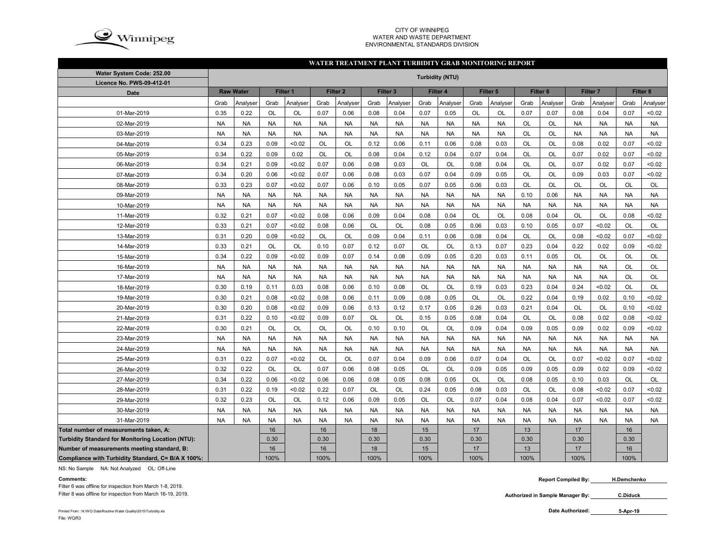

#### CITY OF WINNIPEG WATER AND WASTE DEPARTMENTENVIRONMENTAL STANDARDS DIVISION

#### **WATER TREATMENT PLANT TURBIDITY GRAB MONITORING REPORT**

| Water System Code: 252.00                          | <b>Turbidity (NTU)</b> |           |           |           |           |                     |           |                     |           |           |           |           |           |                     |           |           |           |           |
|----------------------------------------------------|------------------------|-----------|-----------|-----------|-----------|---------------------|-----------|---------------------|-----------|-----------|-----------|-----------|-----------|---------------------|-----------|-----------|-----------|-----------|
| Licence No. PWS-09-412-01                          |                        |           |           |           |           |                     |           |                     |           |           |           |           |           |                     |           |           |           |           |
| <b>Date</b>                                        | <b>Raw Water</b>       |           |           | Filter 1  |           | Filter <sub>2</sub> |           | Filter <sub>3</sub> |           | Filter 4  | Filter 5  |           |           | Filter <sub>6</sub> | Filter 7  |           | Filter 8  |           |
|                                                    | Grab                   | Analyser  | Grab      | Analyser  | Grab      | Analyser            | Grab      | Analyser            | Grab      | Analyser  | Grab      | Analyser  | Grab      | Analyser            | Grab      | Analyser  | Grab      | Analyser  |
| 01-Mar-2019                                        | 0.35                   | 0.22      | OL        | OL        | 0.07      | 0.06                | 0.08      | 0.04                | 0.07      | 0.05      | OL        | OL        | 0.07      | 0.07                | 0.08      | 0.04      | 0.07      | < 0.02    |
| 02-Mar-2019                                        | <b>NA</b>              | <b>NA</b> | <b>NA</b> | <b>NA</b> | <b>NA</b> | <b>NA</b>           | <b>NA</b> | <b>NA</b>           | <b>NA</b> | <b>NA</b> | <b>NA</b> | <b>NA</b> | OL        | OL                  | <b>NA</b> | <b>NA</b> | <b>NA</b> | <b>NA</b> |
| 03-Mar-2019                                        | <b>NA</b>              | <b>NA</b> | <b>NA</b> | <b>NA</b> | <b>NA</b> | <b>NA</b>           | <b>NA</b> | <b>NA</b>           | <b>NA</b> | <b>NA</b> | <b>NA</b> | <b>NA</b> | OL        | <b>OL</b>           | <b>NA</b> | <b>NA</b> | <b>NA</b> | <b>NA</b> |
| 04-Mar-2019                                        | 0.34                   | 0.23      | 0.09      | <0.02     | OL        | OL                  | 0.12      | 0.06                | 0.11      | 0.06      | 0.08      | 0.03      | OL        | <b>OL</b>           | 0.08      | 0.02      | 0.07      | <0.02     |
| 05-Mar-2019                                        | 0.34                   | 0.22      | 0.09      | 0.02      | <b>OL</b> | <b>OL</b>           | 0.08      | 0.04                | 0.12      | 0.04      | 0.07      | 0.04      | <b>OL</b> | <b>OL</b>           | 0.07      | 0.02      | 0.07      | < 0.02    |
| 06-Mar-2019                                        | 0.34                   | 0.21      | 0.09      | < 0.02    | 0.07      | 0.06                | 0.08      | 0.03                | <b>OL</b> | OL        | 0.08      | 0.04      | <b>OL</b> | <b>OL</b>           | 0.07      | 0.02      | 0.07      | < 0.02    |
| 07-Mar-2019                                        | 0.34                   | 0.20      | 0.06      | < 0.02    | 0.07      | 0.06                | 0.08      | 0.03                | 0.07      | 0.04      | 0.09      | 0.05      | OL        | <b>OL</b>           | 0.09      | 0.03      | 0.07      | < 0.02    |
| 08-Mar-2019                                        | 0.33                   | 0.23      | 0.07      | <0.02     | 0.07      | 0.06                | 0.10      | 0.05                | 0.07      | 0.05      | 0.06      | 0.03      | OL        | <b>OL</b>           | <b>OL</b> | <b>OL</b> | OL        | OL        |
| 09-Mar-2019                                        | <b>NA</b>              | <b>NA</b> | <b>NA</b> | <b>NA</b> | <b>NA</b> | <b>NA</b>           | <b>NA</b> | <b>NA</b>           | <b>NA</b> | <b>NA</b> | <b>NA</b> | <b>NA</b> | 0.10      | 0.06                | <b>NA</b> | <b>NA</b> | <b>NA</b> | <b>NA</b> |
| 10-Mar-2019                                        | <b>NA</b>              | <b>NA</b> | <b>NA</b> | <b>NA</b> | <b>NA</b> | <b>NA</b>           | <b>NA</b> | <b>NA</b>           | <b>NA</b> | <b>NA</b> | <b>NA</b> | <b>NA</b> | <b>NA</b> | <b>NA</b>           | <b>NA</b> | <b>NA</b> | <b>NA</b> | <b>NA</b> |
| 11-Mar-2019                                        | 0.32                   | 0.21      | 0.07      | < 0.02    | 0.08      | 0.06                | 0.09      | 0.04                | 0.08      | 0.04      | <b>OL</b> | <b>OL</b> | 0.08      | 0.04                | <b>OL</b> | <b>OL</b> | 0.08      | <0.02     |
| 12-Mar-2019                                        | 0.33                   | 0.21      | 0.07      | < 0.02    | 0.08      | 0.06                | OL        | <b>OL</b>           | 0.08      | 0.05      | 0.06      | 0.03      | 0.10      | 0.05                | 0.07      | <0.02     | OL        | OL        |
| 13-Mar-2019                                        | 0.31                   | 0.20      | 0.09      | < 0.02    | OL        | OL                  | 0.09      | 0.04                | 0.11      | 0.06      | 0.08      | 0.04      | OL        | OL                  | 0.08      | <0.02     | 0.07      | < 0.02    |
| 14-Mar-2019                                        | 0.33                   | 0.21      | OL        | OL        | 0.10      | 0.07                | 0.12      | 0.07                | OL        | OL        | 0.13      | 0.07      | 0.23      | 0.04                | 0.22      | 0.02      | 0.09      | < 0.02    |
| 15-Mar-2019                                        | 0.34                   | 0.22      | 0.09      | <0.02     | 0.09      | 0.07                | 0.14      | 0.08                | 0.09      | 0.05      | 0.20      | 0.03      | 0.11      | 0.05                | OL        | OL        | <b>OL</b> | OL        |
| 16-Mar-2019                                        | <b>NA</b>              | <b>NA</b> | <b>NA</b> | <b>NA</b> | <b>NA</b> | <b>NA</b>           | <b>NA</b> | <b>NA</b>           | <b>NA</b> | <b>NA</b> | <b>NA</b> | <b>NA</b> | <b>NA</b> | <b>NA</b>           | <b>NA</b> | <b>NA</b> | <b>OL</b> | OL        |
| 17-Mar-2019                                        | <b>NA</b>              | <b>NA</b> | <b>NA</b> | <b>NA</b> | <b>NA</b> | <b>NA</b>           | <b>NA</b> | <b>NA</b>           | <b>NA</b> | <b>NA</b> | <b>NA</b> | <b>NA</b> | <b>NA</b> | <b>NA</b>           | <b>NA</b> | <b>NA</b> | OL        | OL        |
| 18-Mar-2019                                        | 0.30                   | 0.19      | 0.11      | 0.03      | 0.08      | 0.06                | 0.10      | 0.08                | <b>OL</b> | OL        | 0.19      | 0.03      | 0.23      | 0.04                | 0.24      | <0.02     | OL        | OL        |
| 19-Mar-2019                                        | 0.30                   | 0.21      | 0.08      | < 0.02    | 0.08      | 0.06                | 0.11      | 0.09                | 0.08      | 0.05      | OL        | OL        | 0.22      | 0.04                | 0.19      | 0.02      | 0.10      | < 0.02    |
| 20-Mar-2019                                        | 0.30                   | 0.20      | 0.08      | <0.02     | 0.09      | 0.06                | 0.13      | 0.12                | 0.17      | 0.05      | 0.26      | 0.03      | 0.21      | 0.04                | OL        | OL        | 0.10      | < 0.02    |
| 21-Mar-2019                                        | 0.31                   | 0.22      | 0.10      | < 0.02    | 0.09      | 0.07                | OL        | OL                  | 0.15      | 0.05      | 0.08      | 0.04      | OL        | <b>OL</b>           | 0.08      | 0.02      | 0.08      | < 0.02    |
| 22-Mar-2019                                        | 0.30                   | 0.21      | <b>OL</b> | <b>OL</b> | <b>OL</b> | <b>OL</b>           | 0.10      | 0.10                | <b>OL</b> | <b>OL</b> | 0.09      | 0.04      | 0.09      | 0.05                | 0.09      | 0.02      | 0.09      | < 0.02    |
| 23-Mar-2019                                        | <b>NA</b>              | <b>NA</b> | <b>NA</b> | <b>NA</b> | <b>NA</b> | <b>NA</b>           | <b>NA</b> | <b>NA</b>           | <b>NA</b> | <b>NA</b> | <b>NA</b> | <b>NA</b> | <b>NA</b> | <b>NA</b>           | <b>NA</b> | <b>NA</b> | <b>NA</b> | <b>NA</b> |
| 24-Mar-2019                                        | <b>NA</b>              | <b>NA</b> | <b>NA</b> | <b>NA</b> | <b>NA</b> | <b>NA</b>           | <b>NA</b> | <b>NA</b>           | <b>NA</b> | <b>NA</b> | <b>NA</b> | <b>NA</b> | <b>NA</b> | <b>NA</b>           | <b>NA</b> | <b>NA</b> | <b>NA</b> | <b>NA</b> |
| 25-Mar-2019                                        | 0.31                   | 0.22      | 0.07      | < 0.02    | OL        | OL                  | 0.07      | 0.04                | 0.09      | 0.06      | 0.07      | 0.04      | <b>OL</b> | <b>OL</b>           | 0.07      | <0.02     | 0.07      | < 0.02    |
| 26-Mar-2019                                        | 0.32                   | 0.22      | OL        | OL        | 0.07      | 0.06                | 0.08      | 0.05                | OL        | OL        | 0.09      | 0.05      | 0.09      | 0.05                | 0.09      | 0.02      | 0.09      | < 0.02    |
| 27-Mar-2019                                        | 0.34                   | 0.22      | 0.06      | <0.02     | 0.06      | 0.06                | 0.08      | 0.05                | 0.08      | 0.05      | OL        | OL        | 0.08      | 0.05                | 0.10      | 0.03      | OL        | OL        |
| 28-Mar-2019                                        | 0.31                   | 0.22      | 0.19      | < 0.02    | 0.22      | 0.07                | OL        | <b>OL</b>           | 0.24      | 0.05      | 0.08      | 0.03      | <b>OL</b> | <b>OL</b>           | 0.08      | <0.02     | 0.07      | < 0.02    |
| 29-Mar-2019                                        | 0.32                   | 0.23      | OL        | OL        | 0.12      | 0.06                | 0.09      | 0.05                | <b>OL</b> | OL        | 0.07      | 0.04      | 0.08      | 0.04                | 0.07      | < 0.02    | 0.07      | < 0.02    |
| 30-Mar-2019                                        | <b>NA</b>              | <b>NA</b> | <b>NA</b> | <b>NA</b> | <b>NA</b> | <b>NA</b>           | <b>NA</b> | <b>NA</b>           | <b>NA</b> | <b>NA</b> | <b>NA</b> | <b>NA</b> | <b>NA</b> | <b>NA</b>           | <b>NA</b> | <b>NA</b> | <b>NA</b> | <b>NA</b> |
| 31-Mar-2019                                        | <b>NA</b>              | <b>NA</b> | <b>NA</b> | <b>NA</b> | <b>NA</b> | <b>NA</b>           | <b>NA</b> | <b>NA</b>           | <b>NA</b> | <b>NA</b> | <b>NA</b> | <b>NA</b> | <b>NA</b> | <b>NA</b>           | <b>NA</b> | <b>NA</b> | <b>NA</b> | <b>NA</b> |
| Total number of measurements taken, A:             |                        |           | 16        |           | 16        |                     | 18        |                     | 15        |           | 17        |           | 13        |                     | 17        |           | 16        |           |
| Turbidity Standard for Monitoring Location (NTU):  |                        |           | 0.30      |           | 0.30      |                     | 0.30      |                     | 0.30      |           | 0.30      |           | 0.30      |                     | 0.30      |           | 0.30      |           |
| Number of measurements meeting standard, B:        |                        |           | 16        |           | 16        |                     | 18        |                     | 15        |           | 17        |           | 13        |                     | 17        |           | 16        |           |
| Compliance with Turbidity Standard, C= B/A X 100%: |                        |           | 100%      |           | 100%      |                     | 100%      |                     | 100%      |           | 100%      |           | 100%      |                     | 100%      |           | 100%      |           |

NS: No Sample NA: Not Analyzed OL: Off-Line

**Comments:**

Filter 6 was offline for inspection from March 1-8, 2019. Filter 8 was offline for inspection from March 16-19, 2019.  **Report Compiled By: H.Demchenko**

Printed From : N:\WQ Data\Routine Water Quality\2015\Turbidity.xls **Contact Contact Contact Contact Contact Contact Contact Contact Contact Contact Contact Contact Contact Contact Contact Contact Contact Contact Contact Co** File: WQR3

**Authorized in Sample Manager By: C.Diduck**

**<sup>5-</sup>Apr-19**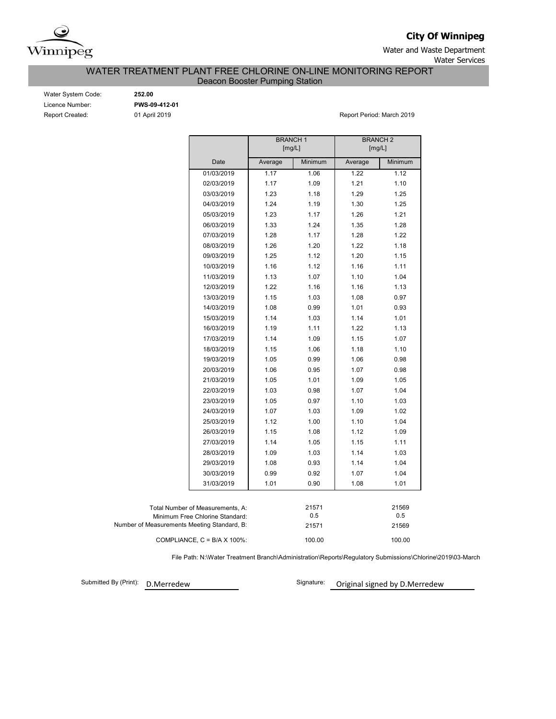

**City Of Winnipeg**

Water and Waste Department Water Services

WATER TREATMENT PLANT FREE CHLORINE ON-LINE MONITORING REPORT

Deacon Booster Pumping Station

| Water System Code:     |
|------------------------|
| Licence Number:        |
| <b>Report Created:</b> |

Water System Code: **252.00** Licence Number: **PWS-09-412-01**

01 April 2019 **Report Period: March 2019** 

|                                             |                                      | <b>BRANCH1</b><br>[mg/L] |              | <b>BRANCH 2</b><br>[mg/L] |         |  |  |  |  |
|---------------------------------------------|--------------------------------------|--------------------------|--------------|---------------------------|---------|--|--|--|--|
|                                             | Date                                 | Average                  | Minimum      | Average                   | Minimum |  |  |  |  |
|                                             | 01/03/2019                           | 1.17                     | 1.06         | 1.22                      | 1.12    |  |  |  |  |
|                                             | 02/03/2019                           | 1.17                     | 1.09         | 1.21                      | 1.10    |  |  |  |  |
|                                             | 03/03/2019                           | 1.23                     | 1.18         | 1.29                      | 1.25    |  |  |  |  |
|                                             | 04/03/2019                           | 1.24                     | 1.19         | 1.30                      | 1.25    |  |  |  |  |
|                                             | 05/03/2019                           | 1.23                     | 1.17         | 1.26                      | 1.21    |  |  |  |  |
|                                             | 06/03/2019                           | 1.33                     | 1.24         | 1.35                      | 1.28    |  |  |  |  |
|                                             | 07/03/2019                           | 1.28                     | 1.17         | 1.28                      | 1.22    |  |  |  |  |
|                                             | 08/03/2019                           | 1.26                     | 1.20         | 1.22                      | 1.18    |  |  |  |  |
|                                             | 09/03/2019                           | 1.25                     | 1.12         | 1.20                      | 1.15    |  |  |  |  |
|                                             | 10/03/2019                           | 1.16                     | 1.12         | 1.16                      | 1.11    |  |  |  |  |
|                                             | 11/03/2019                           | 1.13                     | 1.07         | 1.10                      | 1.04    |  |  |  |  |
|                                             | 12/03/2019                           | 1.22                     | 1.16         | 1.16                      | 1.13    |  |  |  |  |
|                                             | 13/03/2019                           | 1.15                     | 1.03         | 1.08                      | 0.97    |  |  |  |  |
|                                             | 14/03/2019                           | 1.08                     | 0.99         | 1.01                      | 0.93    |  |  |  |  |
|                                             | 15/03/2019                           | 1.14                     | 1.03         | 1.14                      | 1.01    |  |  |  |  |
|                                             | 16/03/2019                           | 1.19                     | 1.11         | 1.22                      | 1.13    |  |  |  |  |
|                                             | 17/03/2019                           | 1.14                     | 1.09         | 1.15                      | 1.07    |  |  |  |  |
|                                             | 18/03/2019                           | 1.15                     | 1.06         | 1.18                      | 1.10    |  |  |  |  |
|                                             | 19/03/2019                           | 1.05                     | 0.99         | 1.06                      | 0.98    |  |  |  |  |
|                                             | 20/03/2019                           | 1.06                     | 0.95         | 1.07                      | 0.98    |  |  |  |  |
|                                             | 21/03/2019                           | 1.05                     | 1.01         | 1.09                      | 1.05    |  |  |  |  |
|                                             | 22/03/2019                           | 1.03                     | 0.98         | 1.07                      | 1.04    |  |  |  |  |
|                                             | 23/03/2019                           | 1.05                     | 0.97         | 1.10                      | 1.03    |  |  |  |  |
|                                             | 24/03/2019                           | 1.07                     | 1.03         | 1.09                      | 1.02    |  |  |  |  |
|                                             | 25/03/2019                           | 1.12                     | 1.00         | 1.10                      | 1.04    |  |  |  |  |
|                                             | 26/03/2019                           | 1.15                     | 1.08         | 1.12                      | 1.09    |  |  |  |  |
|                                             | 27/03/2019                           | 1.14                     | 1.05         | 1.15                      | 1.11    |  |  |  |  |
|                                             | 28/03/2019                           | 1.09                     | 1.03         | 1.14                      | 1.03    |  |  |  |  |
|                                             | 29/03/2019                           | 1.08                     | 0.93         | 1.14                      | 1.04    |  |  |  |  |
|                                             | 30/03/2019                           | 0.99                     | 0.92         | 1.07                      | 1.04    |  |  |  |  |
|                                             | 31/03/2019                           | 1.01                     | 0.90         | 1.08                      | 1.01    |  |  |  |  |
|                                             |                                      |                          |              |                           |         |  |  |  |  |
|                                             | Total Number of Measurements, A:     |                          | 21571<br>0.5 |                           | 21569   |  |  |  |  |
| Number of Measurements Meeting Standard, B: | Minimum Free Chlorine Standard:      |                          |              | 0.5                       |         |  |  |  |  |
|                                             |                                      |                          | 21571        |                           | 21569   |  |  |  |  |
|                                             | COMPLIANCE, $C = B/A \times 100\%$ : |                          | 100.00       |                           | 100.00  |  |  |  |  |

File Path: N:\Water Treatment Branch\Administration\Reports\Regulatory Submissions\Chlorine\2019\03-March

Submitted By (Print):

D.Merredew **D.Merredew** Signature: Original signed by D.Merredew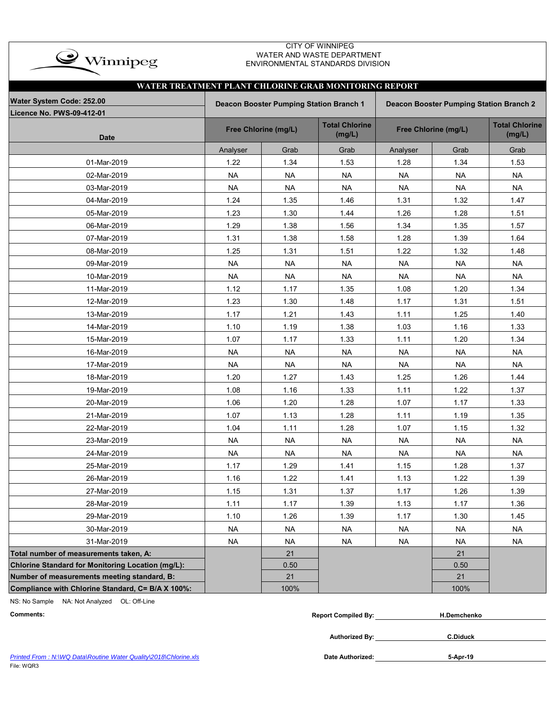| $\bullet$ Winnipeg |
|--------------------|
|                    |

### CITY OF WINNIPEG WATER AND WASTE DEPARTMENT ENVIRONMENTAL STANDARDS DIVISION

| WATER TREATMENT PLANT CHLORINE GRAB MONITORING REPORT |                                                                                    |                      |                                 |           |                      |                                 |  |  |  |  |  |  |  |
|-------------------------------------------------------|------------------------------------------------------------------------------------|----------------------|---------------------------------|-----------|----------------------|---------------------------------|--|--|--|--|--|--|--|
| Water System Code: 252.00                             | Deacon Booster Pumping Station Branch 1<br>Deacon Booster Pumping Station Branch 2 |                      |                                 |           |                      |                                 |  |  |  |  |  |  |  |
| <b>Licence No. PWS-09-412-01</b>                      |                                                                                    |                      |                                 |           |                      |                                 |  |  |  |  |  |  |  |
| <b>Date</b>                                           |                                                                                    | Free Chlorine (mg/L) | <b>Total Chlorine</b><br>(mg/L) |           | Free Chlorine (mg/L) | <b>Total Chlorine</b><br>(mg/L) |  |  |  |  |  |  |  |
|                                                       | Analyser                                                                           | Grab                 | Grab                            | Analyser  | Grab                 | Grab                            |  |  |  |  |  |  |  |
| 01-Mar-2019                                           | 1.22                                                                               | 1.34                 | 1.53                            | 1.28      | 1.34                 | 1.53                            |  |  |  |  |  |  |  |
| 02-Mar-2019                                           | <b>NA</b>                                                                          | <b>NA</b>            | <b>NA</b>                       | <b>NA</b> | <b>NA</b>            | <b>NA</b>                       |  |  |  |  |  |  |  |
| 03-Mar-2019                                           | <b>NA</b>                                                                          | <b>NA</b>            | <b>NA</b>                       | <b>NA</b> | <b>NA</b>            | <b>NA</b>                       |  |  |  |  |  |  |  |
| 04-Mar-2019                                           | 1.24                                                                               | 1.35                 | 1.46                            | 1.31      | 1.32                 | 1.47                            |  |  |  |  |  |  |  |
| 05-Mar-2019                                           | 1.23                                                                               | 1.30                 | 1.44                            | 1.26      | 1.28                 | 1.51                            |  |  |  |  |  |  |  |
| 06-Mar-2019                                           | 1.29                                                                               | 1.38                 | 1.56                            | 1.34      | 1.35                 | 1.57                            |  |  |  |  |  |  |  |
| 07-Mar-2019                                           | 1.31                                                                               | 1.38                 | 1.58                            | 1.28      | 1.39                 | 1.64                            |  |  |  |  |  |  |  |
| 08-Mar-2019                                           | 1.25                                                                               | 1.31                 | 1.51                            | 1.22      | 1.32                 | 1.48                            |  |  |  |  |  |  |  |
| 09-Mar-2019                                           | <b>NA</b>                                                                          | <b>NA</b>            | <b>NA</b>                       | <b>NA</b> | <b>NA</b>            | <b>NA</b>                       |  |  |  |  |  |  |  |
| 10-Mar-2019                                           | <b>NA</b>                                                                          | <b>NA</b>            | <b>NA</b>                       | <b>NA</b> | <b>NA</b>            | <b>NA</b>                       |  |  |  |  |  |  |  |
| 11-Mar-2019                                           | 1.12                                                                               | 1.17                 | 1.35                            | 1.08      | 1.20                 | 1.34                            |  |  |  |  |  |  |  |
| 12-Mar-2019                                           | 1.23                                                                               | 1.30                 | 1.48                            | 1.17      | 1.31                 | 1.51                            |  |  |  |  |  |  |  |
| 13-Mar-2019                                           | 1.17                                                                               | 1.21                 | 1.43                            | 1.11      | 1.25                 | 1.40                            |  |  |  |  |  |  |  |
| 14-Mar-2019                                           | 1.10                                                                               | 1.19                 | 1.38                            | 1.03      | 1.16                 | 1.33                            |  |  |  |  |  |  |  |
| 15-Mar-2019                                           | 1.07                                                                               | 1.17                 | 1.33                            | 1.11      | 1.20                 | 1.34                            |  |  |  |  |  |  |  |
| 16-Mar-2019                                           | <b>NA</b>                                                                          | <b>NA</b>            | <b>NA</b>                       | <b>NA</b> | <b>NA</b>            | <b>NA</b>                       |  |  |  |  |  |  |  |
| 17-Mar-2019                                           | <b>NA</b>                                                                          | <b>NA</b>            | <b>NA</b>                       | <b>NA</b> | <b>NA</b>            | <b>NA</b>                       |  |  |  |  |  |  |  |
| 18-Mar-2019                                           | 1.20                                                                               | 1.27                 | 1.43                            | 1.25      | 1.26                 | 1.44                            |  |  |  |  |  |  |  |
| 19-Mar-2019                                           | 1.08                                                                               | 1.16                 | 1.33                            | 1.11      | 1.22                 | 1.37                            |  |  |  |  |  |  |  |
| 20-Mar-2019                                           | 1.06                                                                               | 1.20                 | 1.28                            | 1.07      | 1.17                 | 1.33                            |  |  |  |  |  |  |  |
| 21-Mar-2019                                           | 1.07                                                                               | 1.13                 | 1.28                            | 1.11      | 1.19                 | 1.35                            |  |  |  |  |  |  |  |
| 22-Mar-2019                                           | 1.04                                                                               | 1.11                 | 1.28                            | 1.07      | 1.15                 | 1.32                            |  |  |  |  |  |  |  |
| 23-Mar-2019                                           | <b>NA</b>                                                                          | <b>NA</b>            | <b>NA</b>                       | <b>NA</b> | <b>NA</b>            | <b>NA</b>                       |  |  |  |  |  |  |  |
| 24-Mar-2019                                           | <b>NA</b>                                                                          | <b>NA</b>            | <b>NA</b>                       | <b>NA</b> | <b>NA</b>            | <b>NA</b>                       |  |  |  |  |  |  |  |
| 25-Mar-2019                                           | 1.17                                                                               | 1.29                 | 1.41                            | 1.15      | 1.28                 | 1.37                            |  |  |  |  |  |  |  |
| 26-Mar-2019                                           | 1.16                                                                               | 1.22                 | 1.41                            | 1.13      | 1.22                 | 1.39                            |  |  |  |  |  |  |  |
| 27-Mar-2019                                           | 1.15                                                                               | 1.31                 | 1.37                            | 1.17      | 1.26                 | 1.39                            |  |  |  |  |  |  |  |
| 28-Mar-2019                                           | 1.11                                                                               | 1.17                 | 1.39                            | 1.13      | 1.17                 | 1.36                            |  |  |  |  |  |  |  |
| 29-Mar-2019                                           | 1.10                                                                               | 1.26                 | 1.39                            | 1.17      | 1.30                 | 1.45                            |  |  |  |  |  |  |  |
| 30-Mar-2019                                           | <b>NA</b>                                                                          | <b>NA</b>            | <b>NA</b>                       | <b>NA</b> | <b>NA</b>            | <b>NA</b>                       |  |  |  |  |  |  |  |
| 31-Mar-2019                                           | <b>NA</b>                                                                          | <b>NA</b>            | <b>NA</b>                       | <b>NA</b> | <b>NA</b>            | <b>NA</b>                       |  |  |  |  |  |  |  |
| Total number of measurements taken, A:                |                                                                                    | 21                   |                                 |           | 21                   |                                 |  |  |  |  |  |  |  |
| Chlorine Standard for Monitoring Location (mg/L):     |                                                                                    | 0.50                 |                                 |           | 0.50                 |                                 |  |  |  |  |  |  |  |
| Number of measurements meeting standard, B:           |                                                                                    | 21                   |                                 |           | 21                   |                                 |  |  |  |  |  |  |  |
| Compliance with Chlorine Standard, C= B/A X 100%:     |                                                                                    | 100%                 |                                 |           | 100%                 |                                 |  |  |  |  |  |  |  |

NS: No Sample NA: Not Analyzed OL: Off-Line

| the contract of the contract of the contract of the contract of the contract of the contract of the contract of<br>Comments | Compiled By:<br>Repor' | H.Demchenko |
|-----------------------------------------------------------------------------------------------------------------------------|------------------------|-------------|
|                                                                                                                             |                        |             |

**Authorized By:**

**C.Diduck**

Printed From : N:\WQ Data\Routine Water Quality\2018\Chlorine.xls **Date Authorized: Date Authorized:** File: WQR3

**5-Apr-19**